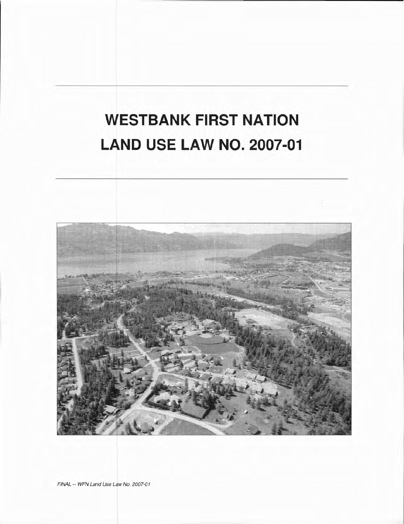# **WESTBANK FIRST NATION LAND USE LAW NO. 2007-01**



FINAL -- WFN Land Use Law No. 2007-01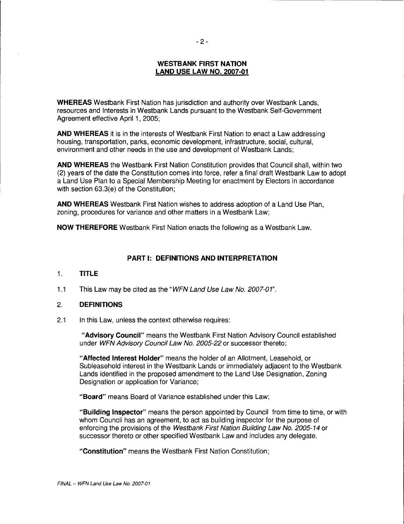## **WESTBANK FIRST NATION LAND USE LAW NO. 2007-01**

**WHEREAS** Westbank First Nation has jurisdiction and authority over Westbank Lands, resources and Interests in Westbank Lands pursuant to the Westbank Self-Government Agreement effective April 1, 2005;

**AND WHEREAS** it is in the interests of Westbank First Nation to enact a Law addressing housing, transportation, parks, economic development, infrastructure, social, cultural, environment and other needs in the use and development of Westbank Lands;

**AND WHEREAS** the Westbank First Nation Constitution provides that Council shall, within two (2) years of the date the Constitution comes into force, refer a final draft Westbank Law to adopt a Land Use Plan to a Special Membership Meeting for enactment by Electors in accordance with section 63.3(e) of the Constitution;

**AND WHEREAS** Westbank First Nation wishes to address adoption of a Land Use Plan, zoning, procedures for variance and other matters in a Westbank Law;

**NOW THEREFORE** Westbank First Nation enacts the following as a Westbank Law.

# **PART I: DEFINITIONS AND INTERPRETATION**

#### 1. **TITLE**

1.1 This Law may be cited as the "WFN Land Use Law No. 2007-01".

#### 2. **DEFINITIONS**

2.1 In this Law, unless the context otherwise requires:

**"Advisory Council"** means the Westbank First Nation Advisory Council established under WFN Advisory Council Law No. 2005-22 or successor thereto;

**"Affected Interest Holder"** means the holder of an Allotment, Leasehold, or Subleasehold interest in the Westbank Lands or immediately adjacent to the Westbank Lands identified in the proposed amendment to the Land Use Designation, Zoning Designation or application for Variance;

**"Board"** means Board of Variance established under this Law;

**"Building Inspector"** means the person appointed by Council from time to time, or with whom Council has an agreement, to act as building inspector for the purpose of enforcing the provisions of the Westbank First Nation Building Law No. 2005-14 or successor thereto or other specified Westbank Law and includes any delegate.

**"Constitution"** means the Westbank First Nation Constitution;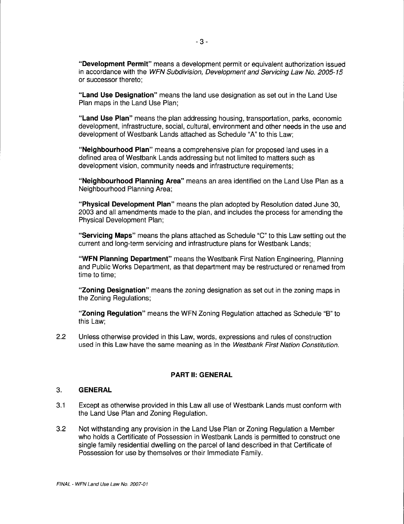**"Development Permit"** means a development permit or equivalent authorization issued in accordance with the WFN Subdivision, Development and Servicing Law No. 2005-15 or successor thereto;

**"Land Use Designation"** means the land use designation as set out in the Land Use Plan maps in the Land Use Plan;

**"Land Use Plan"** means the plan addressing housing, transportation, parks, economic development, infrastructure, social, cultural, environment and other needs in the use and development of Westbank Lands attached as Schedule "A" to this Law;

**"Neighbourhood Plan"** means a comprehensive plan for proposed land uses in a defined area of Westbank Lands addressing but not limited to matters such as development vision, community needs and infrastructure requirements;

**"Neighbourhood Planning Area"** means an area identified on the Land Use Plan as a Neighbourhood Planning Area;

**"Physical Development Plan"** means the plan adopted by Resolution dated June 30, 2003 and all amendments made to the plan, and includes the process for amending the Physical Development Plan;

**"Servicing Maps"** means the plans attached as Schedule "C" to this Law setting out the current and long-term servicing and infrastructure plans for Westbank Lands;

**"WFN Planning Department"** means the Westbank First Nation Engineering, Planning and Public Works Department, as that department may be restructured or renamed from time to time;

**"Zoning Designation"** means the zoning designation as set out in the zoning maps in the Zoning Regulations;

**"Zoning Regulation"** means the WFN Zoning Regulation attached as Schedule "B" to this Law;

2.2 Unless otherwise provided in this Law, words, expressions and rules of construction used in this Law have the same meaning as in the Westbank First Nation Constitution.

#### **PART II: GENERAL**

#### 3. **GENERAL**

- 3.1 Except as otherwise provided in this Law all use of Westbank Lands must conform with the Land Use Plan and Zoning Regulation.
- 3.2 Not withstanding any provision in the Land Use Plan or Zoning Regulation a Member who holds a Certificate of Possession in Westbank Lands is permitted to construct one single family residential dwelling on the parcel of land described in that Certificate of Possession for use by themselves or their Immediate Family.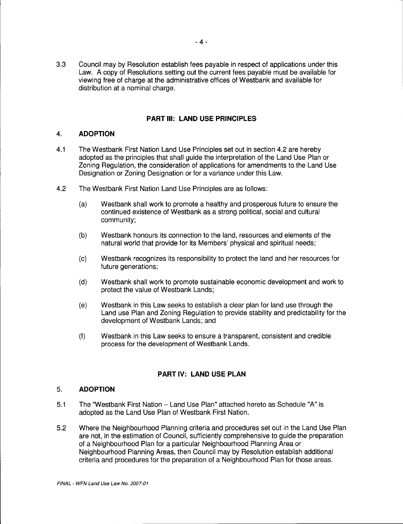3.3 Council may by Resolution establish fees payable in respect of applications under this Law. A copy of Resolutions setting out the current fees payable must be available for viewing free of charge at the administrative offices of Westbank and available for distribution at a nominal charge.

# **PART Ill: LAND USE PRINCIPLES**

# 4. **ADOPTION**

- 4.1 The Westbank First Nation Land Use Principles set out in section 4.2 are hereby adopted as the principles that shall guide the interpretation of the Land Use Plan or Zoning Regulation, the consideration of applications for amendments to the Land Use Designation or Zoning Designation or for a variance under this Law.
- 4.2 The Westbank First Nation Land Use Principles are as follows:
	- (a) Westbank shall work to promote a healthy and prosperous future to ensure the continued existence of Westbank as a strong political, social and cultural community;
	- (b) Westbank honours its connection to the land, resources and elements of the natural world that provide for its Members' physical and spiritual needs;
	- (c) Westbank recognizes its responsibility to protect the land and her resources for future generations;
	- (d) Westbank shall work to promote sustainable economic development and work to protect the value of Westbank Lands;
	- (e) Westbank in this Law seeks to establish a clear plan for land use through the Land use Plan and Zoning Regulation to provide stability and predictability for the development of Westbank Lands; and
	- (f) Westbank in this Law seeks to ensure a transparent, consistent and credible process for the development of Westbank Lands.

# **PART IV: LAND USE PLAN**

# 5. **ADOPTION**

- 5.1 The "Westbank First Nation Land Use Plan" attached hereto as Schedule "A" is adopted as the Land Use Plan of Westbank First Nation.
- 5.2 Where the Neighbourhood Planning criteria and procedures set out in the Land Use Plan are not, in the estimation of Council, sufficiently comprehensive to guide the preparation of a Neighbourhood Plan for a particular Neighbourhood Planning Area or Neighbourhood Planning Areas, then Council may by Resolution establish additional criteria and procedures for the preparation of a Neighbourhood Plan for those areas.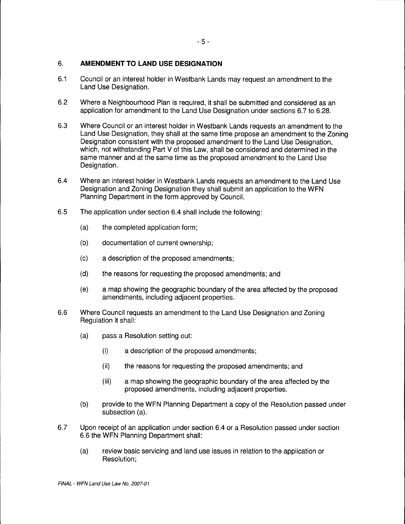# 6. **AMENDMENT TO LAND USE DESIGNATION**

- 6.1 Council or an interest holder in Westbank Lands may request an amendment to the Land Use Designation.
- 6.2 Where a Neighbourhood Plan is required, it shall be submitted and considered as an application for amendment to the Land Use Designation under sections 6.7 to 6.28.
- 6.3 Where Council or an interest holder in Westbank Lands requests an amendment to the Land Use Designation, they shall at the same time propose an amendment to the Zoning Designation consistent with the proposed amendment to the Land Use Designation, which, not withstanding Part V of this Law, shall be considered and determined in the same manner and at the same time as the proposed amendment to the Land Use Designation.
- 6.4 Where an interest holder in Westbank Lands requests an amendment to the Land Use Designation and Zoning Designation they shall submit an application to the WFN Planning Department in the form approved by Council.
- 6.5 The application under section 6.4 shall include the following:
	- (a) the completed application form;
	- (b) documentation of current ownership;
	- (c) a description of the proposed amendments;
	- (d) the reasons for requesting the proposed amendments; and
	- (e) a map showing the geographic boundary of the area affected by the proposed amendments, including adjacent properties.
- 6.6 Where Council requests an amendment to the Land Use Designation and Zoning Regulation it shall:
	- (a) pass a Resolution setting out:
		- (i) a description of the proposed amendments;
		- (ii) the reasons for requesting the proposed amendments; and
		- (iii) a map showing the geographic boundary of the area affected by the proposed amendments, including adjacent properties.
	- (b) provide to the WFN Planning Department a copy of the Resolution passed under subsection (a).
- 6.7 Upon receipt of an application under section 6.4 or a Resolution passed under section 6.6 the WFN Planning Department shall:
	- (a) review basic servicing and land use issues in relation to the application or Resolution;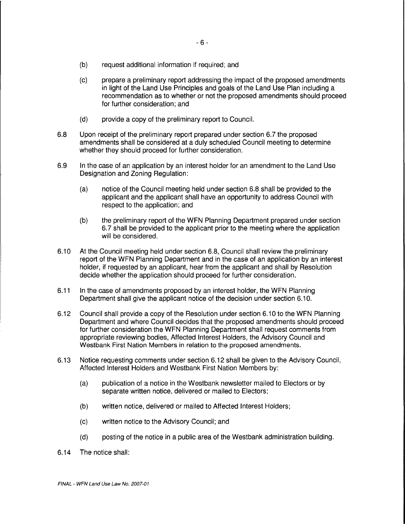- (b) request additional information if required; and
- (c) prepare a preliminary report addressing the impact of the proposed amendments in light of the Land Use Principles and goals of the Land Use Plan including a recommendation as to whether or not the proposed amendments should proceed for further consideration; and
- (d) provide a copy of the preliminary report to Council.
- 6.8 Upon receipt of the preliminary report prepared under section 6.7 the proposed amendments shall be considered at a duly scheduled Council meeting to determine whether they should proceed for further consideration.
- 6.9 In the case of an application by an interest holder for an amendment to the Land Use Designation and Zoning Regulation:
	- (a) notice of the Council meeting held under section 6.8 shall be provided to the applicant and the applicant shall have an opportunity to address Council with respect to the application; and
	- (b) the preliminary report of the WFN Planning Department prepared under section 6. 7 shall be provided to the applicant prior to the meeting where the application will be considered.
- 6.10 At the Council meeting held under section 6.8, Council shall review the preliminary report of the WFN Planning Department and in the case of an application by an interest holder, if requested by an applicant, hear from the applicant and shall by Resolution decide whether the application should proceed for further consideration.
- 6.11 In the case of amendments proposed by an interest holder, the WFN Planning Department shall give the applicant notice of the decision under section 6.10.
- 6.12 Council shall provide a copy of the Resolution under section 6.10 to the WFN Planning Department and where Council decides that the proposed amendments should proceed for further consideration the WFN Planning Department shall request comments from appropriate reviewing bodies, Affected Interest Holders, the Advisory Council and Westbank First Nation Members in relation to the proposed amendments.
- 6.13 Notice requesting comments under section 6.12 shall be given to the Advisory Council, Affected Interest Holders and Westbank First Nation Members by:
	- (a) publication of a notice in the Westbank newsletter mailed to Electors or by separate written notice, delivered or mailed to Electors;
	- (b) written notice, delivered or mailed to Affected Interest Holders;
	- (c) written notice to the Advisory Council; and
	- (d) posting of the notice in a public area of the Westbank administration building.
- 6.14 The notice shall: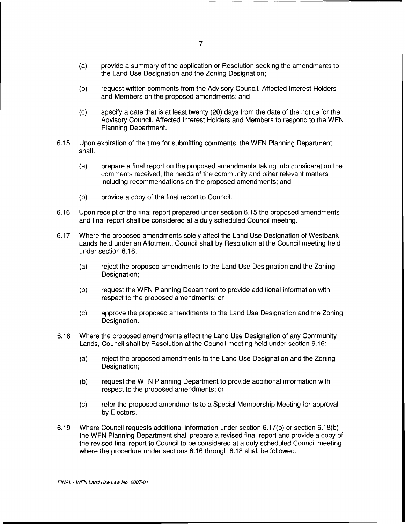- (a) provide a summary of the application or Resolution seeking the amendments to the Land Use Designation and the Zoning Designation;
- (b) request written comments from the Advisory Council, Affected Interest Holders and Members on the proposed amendments; and
- (c) specify a date that is at least twenty (20) days from the date of the notice for the Advisory Council, Affected Interest Holders and Members to respond to the WFN Planning Department.
- 6.15 Upon expiration of the time for submitting comments, the WFN Planning Department shall:
	- (a) prepare a final report on the proposed amendments taking into consideration the comments received, the needs of the community and other relevant matters including recommendations on the proposed amendments; and
	- (b) provide a copy of the final report to Council.
- 6.16 Upon receipt of the final report prepared under section 6.15 the proposed amendments and final report shall be considered at a duly scheduled Council meeting.
- 6.17 Where the proposed amendments solely affect the Land Use Designation of Westbank Lands held under an Allotment, Council shall by Resolution at the Council meeting held under section 6.16:
	- (a) reject the proposed amendments to the Land Use Designation and the Zoning Designation;
	- (b) request the WFN Planning Department to provide additional information with respect to the proposed amendments; or
	- (c) approve the proposed amendments to the Land Use Designation and the Zoning Designation.
- 6.18 Where the proposed amendments affect the Land Use Designation of any Community Lands, Council shall by Resolution at the Council meeting held under section 6.16:
	- (a) reject the proposed amendments to the Land Use Designation and the Zoning Designation;
	- (b) request the WFN Planning Department to provide additional information with respect to the proposed amendments; or
	- (c) refer the proposed amendments to a Special Membership Meeting for approval by Electors.
- 6.19 Where Council requests additional information under section 6.17(b) or section 6.1 B(b) the WFN Planning Department shall prepare a revised final report and provide a copy of the revised final report to Council to be considered at a duly scheduled Council meeting where the procedure under sections 6.16 through 6.18 shall be followed.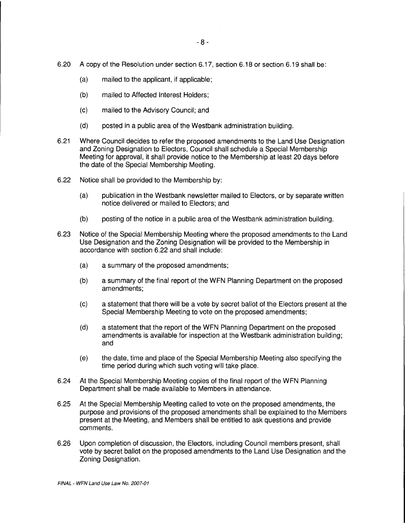- 6.20 A copy of the Resolution under section 6.17, section 6.18 or section 6.19 shall be:
	- (a) mailed to the applicant, if applicable;
	- (b) mailed to Affected Interest Holders;
	- (c) mailed to the Advisory Council; and
	- (d) posted in a public area of the Westbank administration building.
- 6.21 Where Council decides to refer the proposed amendments to the Land Use Designation and Zoning Designation to Electors, Council shall schedule a Special Membership Meeting for approval, it shall provide notice to the Membership at least 20 days before the date of the Special Membership Meeting.
- 6.22 Notice shall be provided to the Membership by:
	- (a) publication in the Westbank newsletter mailed to Electors, or by separate written notice delivered or mailed to Electors; and
	- (b) posting of the notice in a public area of the Westbank administration building.
- 6.23 Notice of the Special Membership Meeting where the proposed amendments to the Land Use Designation and the Zoning Designation will be provided to the Membership in accordance with section 6.22 and shall include:
	- (a) a summary of the proposed amendments;
	- (b) a summary of the final report of the WFN Planning Department on the proposed amendments;
	- (c) a statement that there will be a vote by secret ballot of the Electors present at the Special Membership Meeting to vote on the proposed amendments;
	- (d) a statement that the report of the WFN Planning Department on the proposed amendments is available for inspection at the Westbank administration building; and
	- (e) the date, time and place of the Special Membership Meeting also specifying the time period during which such voting will take place.
- 6.24 At the Special Membership Meeting copies of the final report of the WFN Planning Department shall be made available to Members in attendance.
- 6.25 At the Special Membership Meeting called to vote on the proposed amendments, the purpose and provisions of the proposed amendments shall be explained to the Members present at the Meeting, and Members shall be entitled to ask questions and provide comments.
- 6.26 Upon completion of discussion, the Electors, including Council members present, shall vote by secret ballot on the proposed amendments to the Land Use Designation and the Zoning Designation.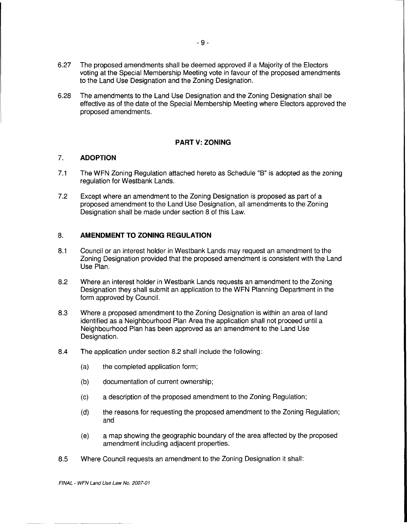6.27 The proposed amendments shall be deemed approved if a Majority of the Electors voting at the Special Membership Meeting vote in favour of the proposed amendments to the Land Use Designation and the Zoning Designation.

- 9 -

6.28 The amendments to the Land Use Designation and the Zoning Designation shall be effective as of the date of the Special Membership Meeting where Electors approved the proposed amendments.

## **PART V: ZONING**

## 7. **ADOPTION**

- 7.1 The WFN Zoning Regulation attached hereto as Schedule "B" is adopted as the zoning regulation for Westbank Lands.
- 7.2 Except where an amendment to the Zoning Designation is proposed as part of a proposed amendment to the Land Use Designation, all amendments to the Zoning Designation shall be made under section 8 of this Law.

# 8. **AMENDMENT TO ZONING REGULATION**

- 8.1 Council or an interest holder in Westbank Lands may request an amendment to the Zoning Designation provided that the proposed amendment is consistent with the Land Use Plan.
- 8.2 Where an interest holder in Westbank Lands requests an amendment to the Zoning Designation they shall submit an application to the WFN Planning Department in the form approved by Council.
- 8.3 Where a proposed amendment to the Zoning Designation is within an area of land identified as a Neighbourhood Plan Area the application shall not proceed until a Neighbourhood Plan has been approved as an amendment to the Land Use Designation.
- 8.4 The application under section 8.2 shall include the following:
	- (a) the completed application form;
	- (b) documentation of current ownership;
	- (c) a description of the proposed amendment to the Zoning Regulation;
	- (d) the reasons for requesting the proposed amendment to the Zoning Regulation; and
	- (e) a map showing the geographic boundary of the area affected by the proposed amendment including adjacent properties.
- 8.5 Where Council requests an amendment to the Zoning Designation it shall: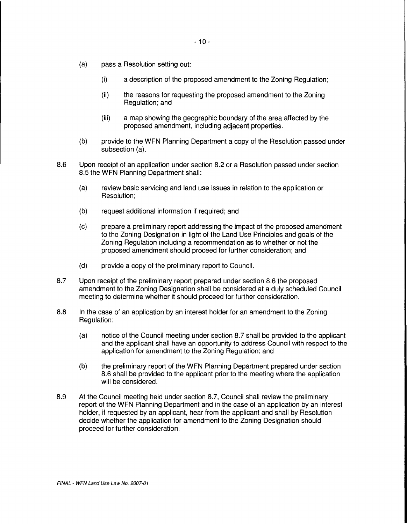- (a) pass a Resolution setting out:
	- (i) a description of the proposed amendment to the Zoning Regulation;
	- (ii) the reasons for requesting the proposed amendment to the Zoning Regulation; and
	- (iii) a map showing the geographic boundary of the area affected by the proposed amendment, including adjacent properties.
- (b) provide to the WFN Planning Department a copy of the Resolution passed under subsection (a).
- 8.6 Upon receipt of an application under section 8.2 or a Resolution passed under section 8.5 the WFN Planning Department shall:
	- (a) review basic servicing and land use issues in relation to the application or Resolution;
	- (b) request additional information if required; and
	- (c) prepare a preliminary report addressing the impact of the proposed amendment to the Zoning Designation in light of the Land Use Principles and goals of the Zoning Regulation including a recommendation as to whether or not the proposed amendment should proceed for further consideration; and
	- (d) provide a copy of the preliminary report to Council.
- 8.7 Upon receipt of the preliminary report prepared under section 8.6 the proposed amendment to the Zoning Designation shall be considered at a duly scheduled Council meeting to determine whether it should proceed for further consideration.
- 8.8 In the case of an application by an interest holder for an amendment to the Zoning Regulation:
	- (a) notice of the Council meeting under section 8.7 shall be provided to the applicant and the applicant shall have an opportunity to address Council with respect to the application for amendment to the Zoning Regulation; and
	- (b) the preliminary report of the WFN Planning Department prepared under section 8.6 shall be provided to the applicant prior to the meeting where the application will be considered.
- 8.9 At the Council meeting held under section 8.7, Council shall review the preliminary report of the WFN Planning Department and in the case of an application by an interest holder, if requested by an applicant, hear from the applicant and shall by Resolution decide whether the application for amendment to the Zoning Designation should proceed for further consideration.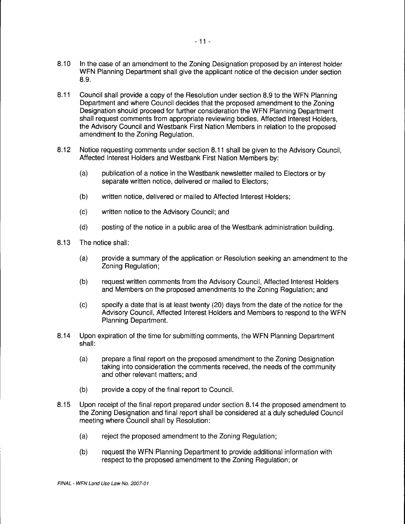- 8.10 In the case of an amendment to the Zoning Designation proposed by an interest holder WFN Planning Department shall give the applicant notice of the decision under section 8.9.
- 8.11 Council shall provide a copy of the Resolution under section 8.9 to the WFN Planning Department and where Council decides that the proposed amendment to the Zoning Designation should proceed for further consideration the WFN Planning Department shall request comments from appropriate reviewing bodies, Affected Interest Holders, the Advisory Council and Westbank First Nation Members in relation to the proposed amendment to the Zoning Regulation.
- 8.12 Notice requesting comments under section 8.11 shall be given to the Advisory Council, Affected Interest Holders and Westbank First Nation Members by:
	- (a) publication of a notice in the Westbank newsletter mailed to Electors or by separate written notice, delivered or mailed to Electors;
	- (b) written notice, delivered or mailed to Affected Interest Holders;
	- (c) written notice to the Advisory Council; and
	- (d) posting of the notice in a public area of the Westbank administration building.
- 8.13 The notice shall:
	- (a) provide a summary of the application or Resolution seeking an amendment to the Zoning Regulation;
	- (b) request written comments from the Advisory Council, Affected Interest Holders and Members on the proposed amendments to the Zoning Regulation; and
	- (c) specify a date that is at least twenty (20) days from the date of the notice for the Advisory Council, Affected Interest Holders and Members to respond to the WFN Planning Department.
- 8.14 Upon expiration of the time for submitting comments, the WFN Planning Department shall:
	- (a) prepare a final report on the proposed amendment to the Zoning Designation taking into consideration the comments received, the needs of the community and other relevant matters; and
	- (b) provide a copy of the final report to Council.
- 8.15 Upon receipt of the final report prepared under section 8.14 the proposed amendment to the Zoning Designation and final report shall be considered at a duly scheduled Council meeting where Council shall by Resolution:
	- (a) reject the proposed amendment to the Zoning Regulation;
	- (b) request the WFN Planning Department to provide additional information with respect to the proposed amendment to the Zoning Regulation; or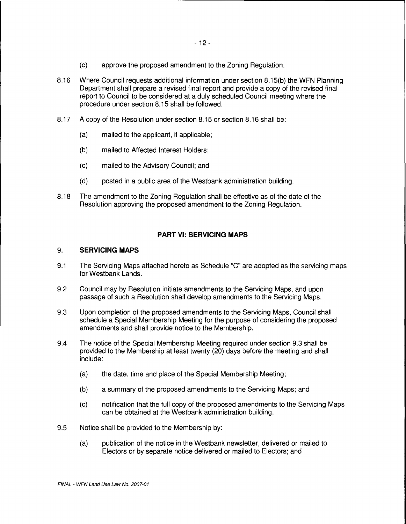- (c) approve the proposed amendment to the Zoning Regulation.
- 8.16 Where Council requests additional information under section 8.15(b) the WFN Planning Department shall prepare a revised final report and provide a copy of the revised final report to Council to be considered at a duly scheduled Council meeting where the procedure under section 8.15 shall be followed.
- 8.17 A copy of the Resolution under section 8.15 or section 8.16 shall be:
	- (a) mailed to the applicant, if applicable;
	- (b) mailed to Affected Interest Holders;
	- (c) mailed to the Advisory Council; and
	- (d) posted in a public area of the Westbank administration building.
- 8.18 The amendment to the Zoning Regulation shall be effective as of the date of the Resolution approving the proposed amendment to the Zoning Regulation.

## **PART VI: SERVICING MAPS**

#### 9. **SERVICING MAPS**

- 9.1 The Servicing Maps attached hereto as Schedule "C" are adopted as the servicing maps tor Westbank Lands.
- 9.2 Council may by Resolution initiate amendments to the Servicing Maps, and upon passage of such a Resolution shall develop amendments to the Servicing Maps.
- 9.3 Upon completion of the proposed amendments to the Servicing Maps, Council shall schedule a Special Membership Meeting for the purpose of considering the proposed amendments and shall provide notice to the Membership.
- 9.4 The notice of the Special Membership Meeting required under section 9.3 shall be provided to the Membership at least twenty (20) days before the meeting and shall include:
	- (a) the date, time and place of the Special Membership Meeting;
	- (b) a summary of the proposed amendments to the Servicing Maps; and
	- (c) notification that the full copy of the proposed amendments to the Servicing Maps can be obtained at the Westbank administration building.
- 9.5 Notice shall be provided to the Membership by:
	- (a) publication of the notice in the Westbank newsletter, delivered or mailed to Electors or by separate notice delivered or mailed to Electors; and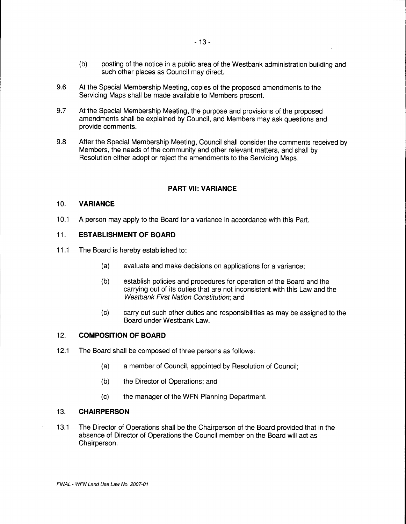- (b) posting of the notice in a public area of the Westbank administration building and such other places as Council may direct.
- 9.6 At the Special Membership Meeting, copies of the proposed amendments to the Servicing Maps shall be made available to Members present.
- 9.7 At the Special Membership Meeting, the purpose and provisions of the proposed amendments shall be explained by Council, and Members may ask questions and provide comments.
- 9.8 After the Special Membership Meeting, Council shall consider the comments received by Members, the needs of the community and other relevant matters, and shall by Resolution either adopt or reject the amendments to the Servicing Maps.

## **PART VII: VARIANCE**

#### 10. **VARIANCE**

10.1 A person may apply to the Board for a variance in accordance with this Part.

#### 11. **ESTABLISHMENT OF BOARD**

- 11.1 The Board is hereby established to:
	- (a) evaluate and make decisions on applications for a variance;
	- (b) establish policies and procedures for operation of the Board and the carrying out of its duties that are not inconsistent with this Law and the Westbank First Nation Constitution; and
	- (c) carry out such other duties and responsibilities as may be assigned to the Board under Westbank Law.

#### 12. **COMPOSITION OF BOARD**

- 12.1 The Board shall be composed of three persons as follows:
	- (a) a member of Council, appointed by Resolution of Council;
	- (b) the Director of Operations; and
	- (c) the manager of the WFN Planning Department.

#### 13. **CHAIRPERSON**

13.1 The Director of Operations shall be the Chairperson of the Board provided that in the absence of Director of Operations the Council member on the Board will act as Chairperson.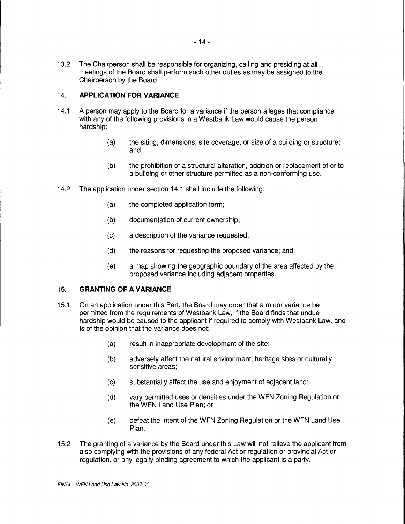13.2 The Chairperson shall be responsible for organizing, calling and presiding at all meetings of the Board shall perform such other duties as may be assigned to the Chairperson by the Board.

# 14. **APPLICATION FOR VARIANCE**

- 14.1 A person may apply to the Board for a variance if the person alleges that compliance with any of the following provisions in a Westbank Law would cause the person hardship:
	- (a) the siting, dimensions, site coverage, or size of a building or structure; and
	- (b) the prohibition of a structural alteration, addition or replacement of or to a building or other structure permitted as a non-conforming use.
- 14.2 The application under section 14.1 shall include the following:
	- (a) the completed application form;
	- (b) documentation of current ownership;
	- (c) a description of the variance requested;
	- (d) the reasons for requesting the proposed variance; and
	- (e) a map showing the geographic boundary of the area affected by the proposed variance including adjacent properties.

## 15. **GRANTING OF A VARIANCE**

- 15.1 On an application under this Part, the Board may order that a minor variance be permitted from the requirements of Westbank Law, if the Board finds that undue hardship would be caused to the applicant if required to comply with Westbank Law, and is of the opinion that the variance does not:
	- (a) result in inappropriate development of the site;
	- (b) adversely affect the natural environment, heritage sites or culturally sensitive areas;
	- (c) substantially affect the use and enjoyment of adjacent land;
	- (d) vary permitted uses or densities under the WFN Zoning Regulation or the WFN Land Use Plan; or
	- (e) defeat the intent of the WFN Zoning Regulation or the WFN Land Use Plan.
- 15.2 The granting of a variance by the Board under this Law will not relieve the applicant from also complying with the provisions of any federal Act or regulation or provincial Act or regulation, or any legally binding agreement to which the applicant is a party.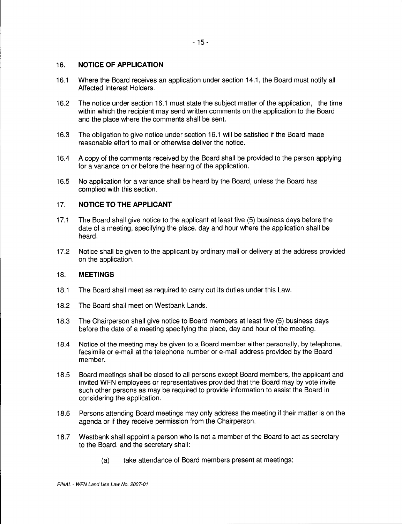# 16. **NOTICE OF APPLICATION**

- 16.1 Where the Board receives an application under section 14.1, the Board must notify all Affected Interest Holders.
- 16.2 The notice under section 16.1 must state the subject matter of the application, the time within which the recipient may send written comments on the application to the Board and the place where the comments shall be sent.
- 16.3 The obligation to give notice under section 16.1 will be satisfied if the Board made reasonable effort to mail or otherwise deliver the notice.
- 16.4 A copy of the comments received by the Board shall be provided to the person applying for a variance on or before the hearing of the application.
- 16.5 No application for a variance shall be heard by the Board, unless the Board has complied with this section.

# 17. **NOTICE TO THE APPLICANT**

- 17.1 The Board shall give notice to the applicant at least five (5) business days before the date of a meeting, specifying the place, day and hour where the application shall be heard.
- 17.2 Notice shall be given to the applicant by ordinary mail or delivery at the address provided on the application.

# 18. **MEETINGS**

- 18.1 The Board shall meet as required to carry out its duties under this Law.
- 18.2 The Board shall meet on Westbank Lands.
- 18.3 The Chairperson shall give notice to Board members at least five (5) business days before the date of a meeting specifying the place, day and hour of the meeting.
- 18.4 Notice of the meeting may be given to a Board member either personally, by telephone, facsimile or e-mail at the telephone number or e-mail address provided by the Board member.
- 18.5 Board meetings shall be closed to all persons except Board members, the applicant and invited WFN employees or representatives provided that the Board may by vote invite such other persons as may be required to provide information to assist the Board in considering the application.
- 18.6 Persons attending Board meetings may only address the meeting if their matter is on the agenda or if they receive permission from the Chairperson.
- 18.7 Westbank shall appoint a person who is not a member of the Board to act as secretary to the Board, and the secretary shall:
	- (a) take attendance of Board members present at meetings;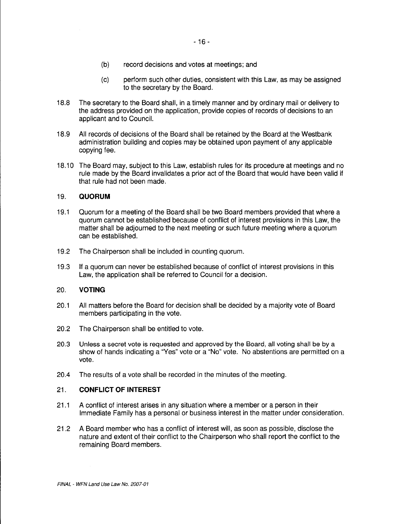- (b) record decisions and votes at meetings; and
- (c) perform such other duties, consistent with this Law, as may be assigned to the secretary by the Board.
- 18.8 The secretary to the Board shall, in a timely manner and by ordinary mail or delivery to the address provided on the application, provide copies of records of decisions to an applicant and to Council.
- 18.9 All records of decisions of the Board shall be retained by the Board at the Westbank administration building and copies may be obtained upon payment of any applicable copying fee.
- 18.10 The Board may, subject to this Law, establish rules for its procedure at meetings and no rule made by the Board invalidates a prior act of the Board that would have been valid if that rule had not been made.

## 19. **QUORUM**

- 19.1 Quorum for a meeting of the Board shall be two Board members provided that where a quorum cannot be established because of conflict of interest provisions in this Law, the matter shall be adjourned to the next meeting or such future meeting where a quorum can be established.
- 19.2 The Chairperson shall be included in counting quorum.
- 19.3 If a quorum can never be established because of conflict of interest provisions in this Law, the application shall be referred to Council for a decision.

## 20. **VOTING**

- 20.1 All matters before the Board for decision shall be decided by a majority vote of Board members participating in the vote.
- 20.2 The Chairperson shall be entitled to vote.
- 20.3 Unless a secret vote is requested and approved by the Board, all voting shall be by a show of hands indicating a "Yes" vote or a "No" vote. No abstentions are permitted on a vote.
- 20.4 The results of a vote shall be recorded in the minutes of the meeting.

#### 21. **CONFLICT OF INTEREST**

- 21.1 A conflict of interest arises in any situation where a member or a person in their Immediate Family has a personal or business interest in the matter under consideration.
- 21.2 A Board member who has a conflict of interest will, as soon as possible, disclose the nature and extent of their conflict to the Chairperson who shall report the conflict to the remaining Board members.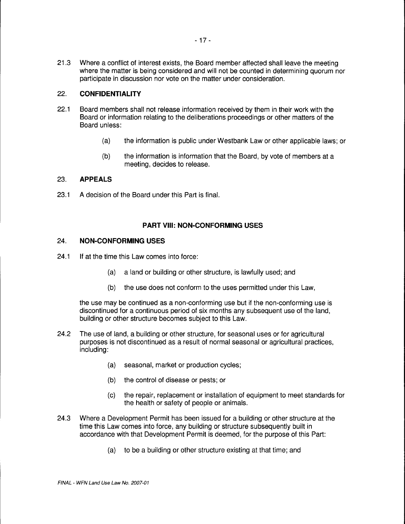21 .3 Where a conflict of interest exists, the Board member affected shall leave the meeting where the matter is being considered and will not be counted in determining quorum nor participate in discussion nor vote on the matter under consideration.

# 22. **CONFIDENTIALITY**

- 22.1 Board members shall not release information received by them in their work with the Board or information relating to the deliberations proceedings or other matters of the Board unless:
	- (a) the information is public under Westbank Law or other applicable laws; or
	- (b) the information is information that the Board, by vote of members at a meeting, decides to release.

## 23. **APPEALS**

23.1 A decision of the Board under this Part is final.

## **PART VIII: NON-CONFORMING USES**

## 24. **NON-CONFORMING USES**

- 24.1 If at the time this Law comes into force:
	- (a) a land or building or other structure, is lawfully used; and
	- (b) the use does not conform to the uses permitted under this Law,

the use may be continued as a non-conforming use but if the non-conforming use is discontinued for a continuous period of six months any subsequent use of the land, building or other structure becomes subject to this Law.

- 24.2 The use of land, a building or other structure, for seasonal uses or for agricultural purposes is not discontinued as a result of normal seasonal or agricultural practices, including:
	- (a) seasonal, market or production cycles;
	- (b) the control of disease or pests; or
	- (c) the repair, replacement or installation of equipment to meet standards for the health or safety of people or animals.
- 24.3 Where a Development Permit has been issued for a building or other structure at the time this Law comes into force, any building or structure subsequently built in accordance with that Development Permit is deemed, for the purpose of this Part:
	- (a) to be a building or other structure existing at that time; and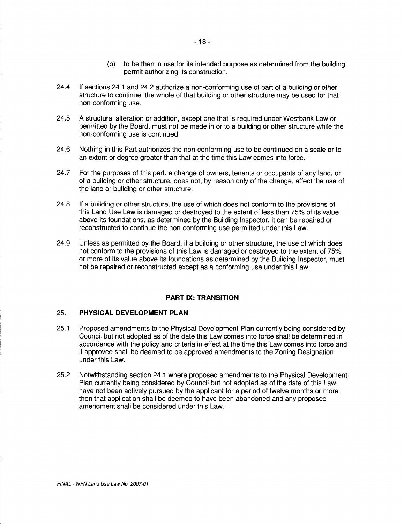- (b) to be then in use for its intended purpose as determined from the building permit authorizing its construction.
- 24.4 If sections 24.1 and 24.2 authorize a non-conforming use of part of a building or other structure to continue, the whole of that building or other structure may be used for that non-conforming use.
- 24.5 A structural alteration or addition, except one that is required under Westbank Law or permitted by the Board, must not be made in or to a building or other structure while the non-conforming use is continued.
- 24.6 Nothing in this Part authorizes the non-conforming use to be continued on a scale or to an extent or degree greater than that at the time this Law comes into force.
- 24.7 For the purposes of this part, a change of owners, tenants or occupants of any land, or of a building or other structure, does not, by reason only of the change, affect the use of the land or building or other structure.
- 24.8 If a building or other structure, the use of which does not conform to the provisions of this Land Use Law is damaged or destroyed to the extent of less than 75% of its value above its foundations, as determined by the Building Inspector, it can be repaired or reconstructed to continue the non-conforming use permitted under this Law.
- 24.9 Unless as permitted by the Board, if a building or other structure, the use of which does not conform to the provisions of this Law is damaged or destroyed to the extent of 75% or more of its value above its foundations as determined by the Building Inspector, must not be repaired or reconstructed except as a conforming use under this Law.

# **PART IX: TRANSITION**

#### 25. **PHYSICAL DEVELOPMENT PLAN**

- 25.1 Proposed amendments to the Physical Development Plan currently being considered by Council but not adopted as of the date this Law comes into force shall be determined in accordance with the policy and criteria in effect at the time this Law comes into force and if approved shall be deemed to be approved amendments to the Zoning Designation under this Law.
- 25.2 Notwithstanding section 24.1 where proposed amendments to the Physical Development Plan currently being considered by Council but not adopted as of the date of this Law have not been actively pursued by the applicant for a period of twelve months or more then that application shall be deemed to have been abandoned and any proposed amendment shall be considered under this Law.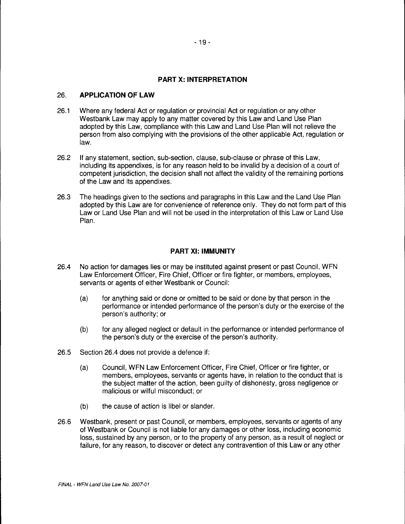## **PART X: INTERPRETATION**

#### 26. **APPLICATION OF LAW**

- 26.1 Where any federal Act or regulation or provincial Act or regulation or any other Westbank Law may apply to any matter covered by this Law and Land Use Plan adopted by this Law, compliance with this Law and Land Use Plan will not relieve the person from also complying with the provisions of the other applicable Act, regulation or law.
- 26.2 If any statement, section, sub-section, clause, sub-clause or phrase of this Law, including its appendixes, is for any reason held to be invalid by a decision of a court of competent jurisdiction, the decision shall not affect the validity of the remaining portions of the Law and its appendixes.
- 26.3 The headings given to the sections and paragraphs in this Law and the Land Use Plan adopted by this Law are for convenience of reference only. They do not form part of this Law or Land Use Plan and will not be used in the interpretation of this Law or Land Use Plan.

## **PART XI: IMMUNITY**

- 26.4 No action for damages lies or may be instituted against present or past Council, WFN Law Enforcement Officer, Fire Chief, Officer or fire fighter, or members, employees, servants or agents of either Westbank or Council:
	- (a) for anything said or done or omitted to be said or done by that person in the performance or intended performance of the person's duty or the exercise of the person's authority; or
	- (b) for any alleged neglect or default in the performance or intended performance of the person's duty or the exercise of the person's authority.
- 26.5 Section 26.4 does not provide a defence if:
	- (a) Council, WFN Law Enforcement Officer, Fire Chief, Officer or fire fighter, or members, employees, servants or agents have, in relation to the conduct that is the subject matter of the action, been guilty of dishonesty, gross negligence or malicious or wilful misconduct; or
	- (b) the cause of action is libel or slander.
- 26.6 Westbank, present or past Council, or members, employees, servants or agents of any of Westbank or Council is not liable for any damages or other loss, including economic loss, sustained by any person, or to the property of any person, as a result of neglect or failure, for any reason, to discover or detect any contravention of this Law or any other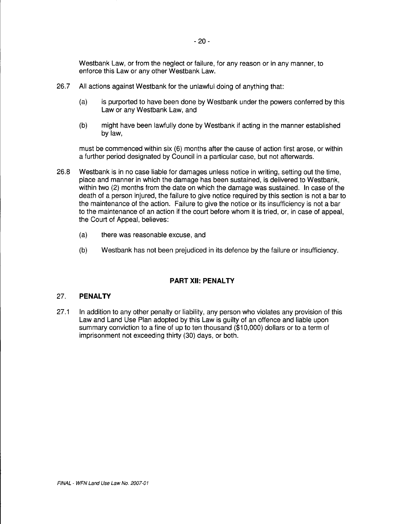Westbank Law, or from the neglect or failure, for any reason or in any manner, to enforce this Law or any other Westbank Law.

- 26.7 All actions against Westbank for the unlawful doing of anything that:
	- (a) is purported to have been done by Westbank under the powers conferred by this Law or any Westbank Law, and
	- (b) might have been lawfully done by Westbank if acting in the manner established bylaw,

must be commenced within six (6) months after the cause of action first arose, or within a further period designated by Council in a particular case, but not afterwards.

- 26.8 Westbank is in no case liable for damages unless notice in writing, setting out the time, place and manner in which the damage has been sustained, is delivered to Westbank, within two (2) months from the date on which the damage was sustained. In case of the death of a person injured, the failure to give notice required by this section is not a bar to the maintenance of the action. Failure to give the notice or its insufficiency is not a bar to the maintenance of an action if the court before whom it is tried, or, in case of appeal, the Court of Appeal, believes:
	- (a) there was reasonable excuse, and
	- (b) Westbank has not been prejudiced in its defence by the failure or insufficiency.

# **PART XII: PENALTY**

# 27. **PENALTY**

27.1 In addition to any other penalty or liability, any person who violates any provision of this Law and Land Use Plan adopted by this Law is guilty of an offence and liable upon summary conviction to a fine of up to ten thousand (\$10,000) dollars or to a term of imprisonment not exceeding thirty (30) days, or both.